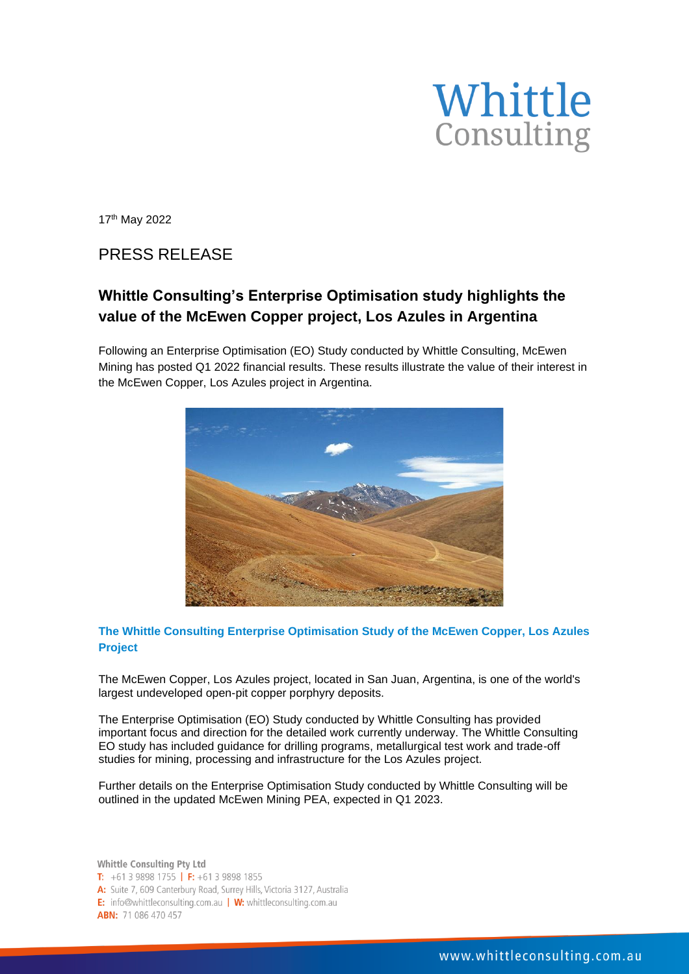

17th May 2022

## PRESS RELEASE

## **Whittle Consulting's Enterprise Optimisation study highlights the value of the McEwen Copper project, Los Azules in Argentina**

Following an Enterprise Optimisation (EO) Study conducted by Whittle Consulting, McEwen Mining has posted Q1 2022 financial results. These results illustrate the value of their interest in the McEwen Copper, Los Azules project in Argentina.



## **The Whittle Consulting Enterprise Optimisation Study of the McEwen Copper, Los Azules Project**

The McEwen Copper, Los Azules project, located in San Juan, Argentina, is one of the world's largest undeveloped open-pit copper porphyry deposits.

The Enterprise Optimisation (EO) Study conducted by Whittle Consulting has provided important focus and direction for the detailed work currently underway. The Whittle Consulting EO study has included guidance for drilling programs, metallurgical test work and trade-off studies for mining, processing and infrastructure for the Los Azules project.

Further details on the Enterprise Optimisation Study conducted by Whittle Consulting will be outlined in the updated McEwen Mining PEA, expected in Q1 2023.

Whittle Consulting Pty Ltd T:  $+61398981755$  | F:  $+61398981855$ A: Suite 7, 609 Canterbury Road, Surrey Hills, Victoria 3127, Australia E: info@whittleconsulting.com.au | W: whittleconsulting.com.au **ABN: 71 086 470 457**